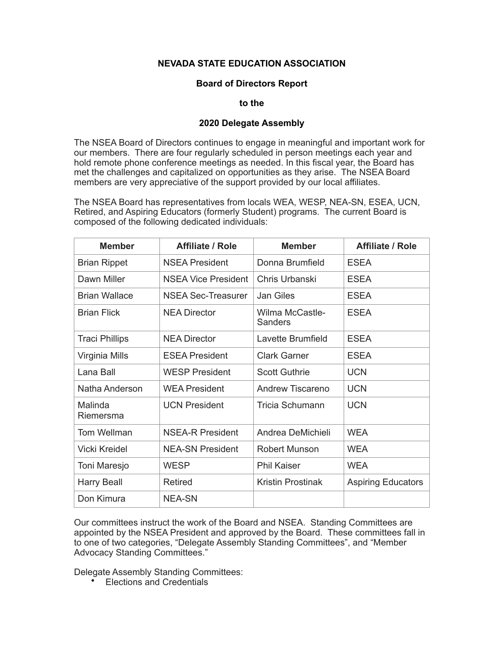## **NEVADA STATE EDUCATION ASSOCIATION**

## **Board of Directors Report**

## **to the**

## **2020 Delegate Assembly**

The NSEA Board of Directors continues to engage in meaningful and important work for our members. There are four regularly scheduled in person meetings each year and hold remote phone conference meetings as needed. In this fiscal year, the Board has met the challenges and capitalized on opportunities as they arise. The NSEA Board members are very appreciative of the support provided by our local affiliates.

The NSEA Board has representatives from locals WEA, WESP, NEA-SN, ESEA, UCN, Retired, and Aspiring Educators (formerly Student) programs. The current Board is composed of the following dedicated individuals:

| <b>Member</b>         | <b>Affiliate / Role</b>    | <b>Member</b>              | <b>Affiliate / Role</b>   |
|-----------------------|----------------------------|----------------------------|---------------------------|
| <b>Brian Rippet</b>   | <b>NSEA President</b>      | Donna Brumfield            | <b>ESEA</b>               |
| Dawn Miller           | <b>NSEA Vice President</b> | Chris Urbanski             | <b>ESEA</b>               |
| <b>Brian Wallace</b>  | <b>NSEA Sec-Treasurer</b>  | Jan Giles                  | <b>ESEA</b>               |
| <b>Brian Flick</b>    | <b>NEA Director</b>        | Wilma McCastle-<br>Sanders | <b>ESEA</b>               |
| <b>Traci Phillips</b> | <b>NEA Director</b>        | Lavette Brumfield          | <b>ESEA</b>               |
| Virginia Mills        | <b>ESEA President</b>      | <b>Clark Garner</b>        | <b>ESEA</b>               |
| Lana Ball             | <b>WESP President</b>      | <b>Scott Guthrie</b>       | <b>UCN</b>                |
| Natha Anderson        | <b>WEA President</b>       | Andrew Tiscareno           | <b>UCN</b>                |
| Malinda<br>Riemersma  | <b>UCN President</b>       | <b>Tricia Schumann</b>     | <b>UCN</b>                |
| Tom Wellman           | <b>NSEA-R President</b>    | Andrea DeMichieli          | <b>WEA</b>                |
| <b>Vicki Kreidel</b>  | <b>NEA-SN President</b>    | <b>Robert Munson</b>       | <b>WEA</b>                |
| Toni Maresjo          | WESP                       | <b>Phil Kaiser</b>         | <b>WEA</b>                |
| <b>Harry Beall</b>    | Retired                    | Kristin Prostinak          | <b>Aspiring Educators</b> |
| Don Kimura            | <b>NEA-SN</b>              |                            |                           |

Our committees instruct the work of the Board and NSEA. Standing Committees are appointed by the NSEA President and approved by the Board. These committees fall in to one of two categories, "Delegate Assembly Standing Committees", and "Member Advocacy Standing Committees."

Delegate Assembly Standing Committees:

• Elections and Credentials